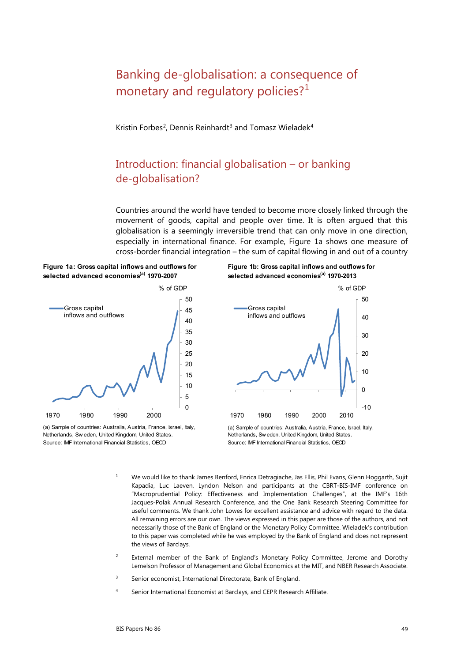# Banking de-globalisation: a consequence of monetary and regulatory policies?<sup>[1](#page-0-0)</sup>

Kristin Forbes<sup>[2](#page-0-1)</sup>, Dennis Reinhardt<sup>[3](#page-0-2)</sup> and Tomasz Wieladek<sup>[4](#page-0-3)</sup>

# Introduction: financial globalisation – or banking de-globalisation?

Countries around the world have tended to become more closely linked through the movement of goods, capital and people over time. It is often argued that this globalisation is a seemingly irreversible trend that can only move in one direction, especially in international finance. For example, Figure 1a shows one measure of cross-border financial integration – the sum of capital flowing in and out of a country





<span id="page-0-0"></span>Source: IMF International Financial Statistics, OECD (a) Sample of countries: Australia, Austria, France, Israel, Italy, Netherlands, Sw eden, United Kingdom, United States.





Source: IMF International Financial Statistics, OECD (a) Sample of countries: Australia, Austria, France, Israel, Italy, Netherlands, Sw eden, United Kingdom, United States.

- <sup>1</sup> We would like to thank James Benford, Enrica Detragiache, Jas Ellis, Phil Evans, Glenn Hoggarth, Sujit Kapadia, Luc Laeven, Lyndon Nelson and participants at the CBRT-BIS-IMF conference on "Macroprudential Policy: Effectiveness and Implementation Challenges", at the IMF's 16th Jacques-Polak Annual Research Conference, and the One Bank Research Steering Committee for useful comments. We thank John Lowes for excellent assistance and advice with regard to the data. All remaining errors are our own. The views expressed in this paper are those of the authors, and not necessarily those of the Bank of England or the Monetary Policy Committee. Wieladek's contribution to this paper was completed while he was employed by the Bank of England and does not represent the views of Barclays.
- <span id="page-0-1"></span><sup>2</sup> External member of the Bank of England's Monetary Policy Committee, Jerome and Dorothy Lemelson Professor of Management and Global Economics at the MIT, and NBER Research Associate.
- <span id="page-0-2"></span><sup>3</sup> Senior economist, International Directorate, Bank of England.
- <span id="page-0-3"></span><sup>4</sup> Senior International Economist at Barclays, and CEPR Research Affiliate.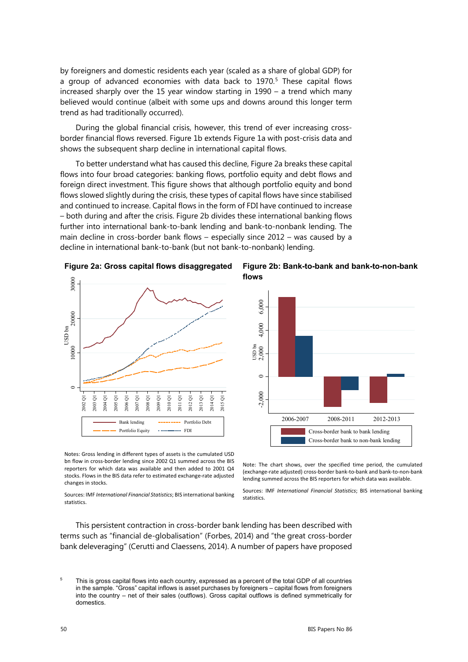by foreigners and domestic residents each year (scaled as a share of global GDP) for a group of advanced economies with data back to 1970.<sup>[5](#page-1-0)</sup> These capital flows increased sharply over the 15 year window starting in 1990 – a trend which many believed would continue (albeit with some ups and downs around this longer term trend as had traditionally occurred).

During the global financial crisis, however, this trend of ever increasing crossborder financial flows reversed. Figure 1b extends Figure 1a with post-crisis data and shows the subsequent sharp decline in international capital flows.

To better understand what has caused this decline, Figure 2a breaks these capital flows into four broad categories: banking flows, portfolio equity and debt flows and foreign direct investment. This figure shows that although portfolio equity and bond flows slowed slightly during the crisis, these types of capital flows have since stabilised and continued to increase. Capital flows in the form of FDI have continued to increase – both during and after the crisis. Figure 2b divides these international banking flows further into international bank-to-bank lending and bank-to-nonbank lending. The main decline in cross-border bank flows – especially since 2012 – was caused by a decline in international bank-to-bank (but not bank-to-nonbank) lending.





**Figure 2b: Bank-to-bank and bank-to-non-bank flows**



Notes: Gross lending in different types of assets is the cumulated USD bn flow in cross-border lending since 2002 Q1 summed across the BIS reporters for which data was available and then added to 2001 Q4 stocks. Flows in the BIS data refer to estimated exchange-rate adjusted changes in stocks.

Sources: IMF *International Financial Statistics*; BIS international banking statistics.

Note: The chart shows, over the specified time period, the cumulated (exchange-rate adjusted) cross-border bank-to-bank and bank-to-non-bank lending summed across the BIS reporters for which data was available.

Sources: IMF *International Financial Statistics*; BIS international banking statistics.

This persistent contraction in cross-border bank lending has been described with terms such as "financial de-globalisation" (Forbes, 2014) and "the great cross-border bank deleveraging" (Cerutti and Claessens, 2014). A number of papers have proposed

<span id="page-1-0"></span><sup>&</sup>lt;sup>5</sup> This is gross capital flows into each country, expressed as a percent of the total GDP of all countries in the sample. "Gross" capital inflows is asset purchases by foreigners - capital flows from foreigners into the country – net of their sales (outflows). Gross capital outflows is defined symmetrically for domestics.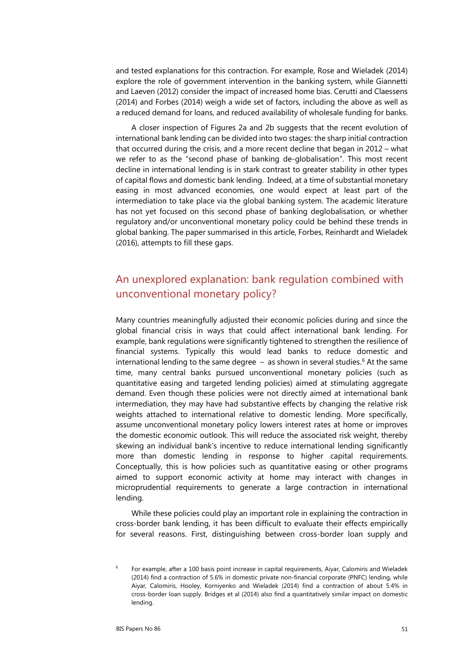and tested explanations for this contraction. For example, Rose and Wieladek (2014) explore the role of government intervention in the banking system, while Giannetti and Laeven (2012) consider the impact of increased home bias. Cerutti and Claessens (2014) and Forbes (2014) weigh a wide set of factors, including the above as well as a reduced demand for loans, and reduced availability of wholesale funding for banks.

A closer inspection of Figures 2a and 2b suggests that the recent evolution of international bank lending can be divided into two stages: the sharp initial contraction that occurred during the crisis, and a more recent decline that began in 2012 – what we refer to as the "second phase of banking de-globalisation". This most recent decline in international lending is in stark contrast to greater stability in other types of capital flows and domestic bank lending. Indeed, at a time of substantial monetary easing in most advanced economies, one would expect at least part of the intermediation to take place via the global banking system. The academic literature has not yet focused on this second phase of banking deglobalisation, or whether regulatory and/or unconventional monetary policy could be behind these trends in global banking. The paper summarised in this article, Forbes, Reinhardt and Wieladek (2016), attempts to fill these gaps.

# An unexplored explanation: bank regulation combined with unconventional monetary policy?

Many countries meaningfully adjusted their economic policies during and since the global financial crisis in ways that could affect international bank lending. For example, bank regulations were significantly tightened to strengthen the resilience of financial systems. Typically this would lead banks to reduce domestic and international lending to the same degree  $-$  as shown in several studies.<sup>[6](#page-2-0)</sup> At the same time, many central banks pursued unconventional monetary policies (such as quantitative easing and targeted lending policies) aimed at stimulating aggregate demand. Even though these policies were not directly aimed at international bank intermediation, they may have had substantive effects by changing the relative risk weights attached to international relative to domestic lending. More specifically, assume unconventional monetary policy lowers interest rates at home or improves the domestic economic outlook. This will reduce the associated risk weight, thereby skewing an individual bank's incentive to reduce international lending significantly more than domestic lending in response to higher capital requirements. Conceptually, this is how policies such as quantitative easing or other programs aimed to support economic activity at home may interact with changes in microprudential requirements to generate a large contraction in international lending.

While these policies could play an important role in explaining the contraction in cross-border bank lending, it has been difficult to evaluate their effects empirically for several reasons. First, distinguishing between cross-border loan supply and

<span id="page-2-0"></span><sup>6</sup> For example, after a 100 basis point increase in capital requirements, Aiyar, Calomiris and Wieladek (2014) find a contraction of 5.6% in domestic private non-financial corporate (PNFC) lending, while Aiyar*,* Calomiris, Hooley, Korniyenko and Wieladek (2014) find a contraction of about 5.4% in cross-border loan supply. Bridges et al (2014) also find a quantitatively similar impact on domestic lending.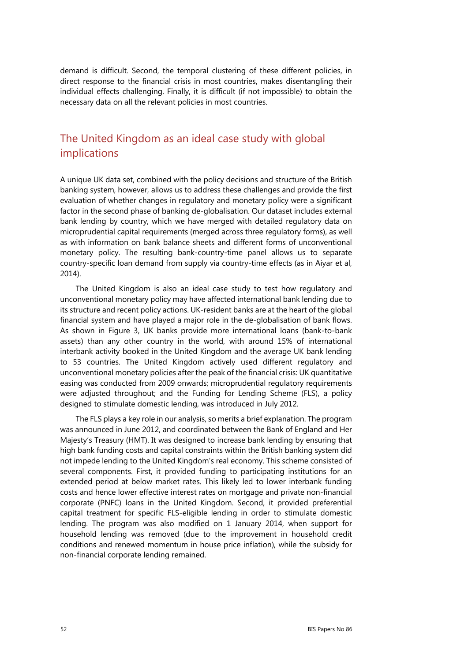demand is difficult. Second, the temporal clustering of these different policies, in direct response to the financial crisis in most countries, makes disentangling their individual effects challenging. Finally, it is difficult (if not impossible) to obtain the necessary data on all the relevant policies in most countries.

# The United Kingdom as an ideal case study with global implications

A unique UK data set, combined with the policy decisions and structure of the British banking system, however, allows us to address these challenges and provide the first evaluation of whether changes in regulatory and monetary policy were a significant factor in the second phase of banking de-globalisation. Our dataset includes external bank lending by country, which we have merged with detailed regulatory data on microprudential capital requirements (merged across three regulatory forms), as well as with information on bank balance sheets and different forms of unconventional monetary policy. The resulting bank-country-time panel allows us to separate country-specific loan demand from supply via country-time effects (as in Aiyar et al, 2014).

The United Kingdom is also an ideal case study to test how regulatory and unconventional monetary policy may have affected international bank lending due to its structure and recent policy actions. UK-resident banks are at the heart of the global financial system and have played a major role in the de-globalisation of bank flows. As shown in Figure 3, UK banks provide more international loans (bank-to-bank assets) than any other country in the world, with around 15% of international interbank activity booked in the United Kingdom and the average UK bank lending to 53 countries. The United Kingdom actively used different regulatory and unconventional monetary policies after the peak of the financial crisis: UK quantitative easing was conducted from 2009 onwards; microprudential regulatory requirements were adjusted throughout; and the Funding for Lending Scheme (FLS), a policy designed to stimulate domestic lending, was introduced in July 2012.

The FLS plays a key role in our analysis, so merits a brief explanation. The program was announced in June 2012, and coordinated between the Bank of England and Her Majesty's Treasury (HMT). It was designed to increase bank lending by ensuring that high bank funding costs and capital constraints within the British banking system did not impede lending to the United Kingdom's real economy. This scheme consisted of several components. First, it provided funding to participating institutions for an extended period at below market rates. This likely led to lower interbank funding costs and hence lower effective interest rates on mortgage and private non-financial corporate (PNFC) loans in the United Kingdom. Second, it provided preferential capital treatment for specific FLS-eligible lending in order to stimulate domestic lending. The program was also modified on 1 January 2014, when support for household lending was removed (due to the improvement in household credit conditions and renewed momentum in house price inflation), while the subsidy for non-financial corporate lending remained.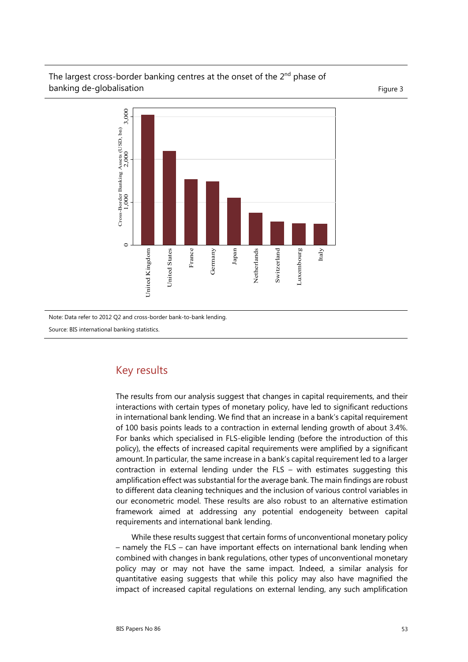#### The largest cross-border banking centres at the onset of the  $2<sup>nd</sup>$  phase of banking de-globalisation extensive and the state of the state of the state of the state  $\frac{1}{2}$



Note: Data refer to 2012 Q2 and cross-border bank-to-bank lending.

Source: BIS international banking statistics.

### Key results

The results from our analysis suggest that changes in capital requirements, and their interactions with certain types of monetary policy, have led to significant reductions in international bank lending. We find that an increase in a bank's capital requirement of 100 basis points leads to a contraction in external lending growth of about 3.4%. For banks which specialised in FLS-eligible lending (before the introduction of this policy), the effects of increased capital requirements were amplified by a significant amount. In particular, the same increase in a bank's capital requirement led to a larger contraction in external lending under the  $FLS -$  with estimates suggesting this amplification effect was substantial for the average bank. The main findings are robust to different data cleaning techniques and the inclusion of various control variables in our econometric model. These results are also robust to an alternative estimation framework aimed at addressing any potential endogeneity between capital requirements and international bank lending.

While these results suggest that certain forms of unconventional monetary policy – namely the FLS – can have important effects on international bank lending when combined with changes in bank regulations, other types of unconventional monetary policy may or may not have the same impact. Indeed, a similar analysis for quantitative easing suggests that while this policy may also have magnified the impact of increased capital regulations on external lending, any such amplification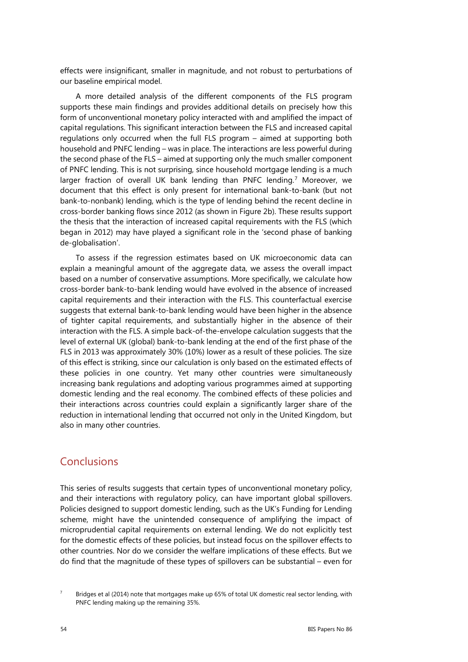effects were insignificant, smaller in magnitude, and not robust to perturbations of our baseline empirical model.

A more detailed analysis of the different components of the FLS program supports these main findings and provides additional details on precisely how this form of unconventional monetary policy interacted with and amplified the impact of capital regulations. This significant interaction between the FLS and increased capital regulations only occurred when the full FLS program – aimed at supporting both household and PNFC lending – was in place. The interactions are less powerful during the second phase of the FLS – aimed at supporting only the much smaller component of PNFC lending. This is not surprising, since household mortgage lending is a much larger fraction of overall UK bank lending than PNFC lending.<sup>[7](#page-5-0)</sup> Moreover, we document that this effect is only present for international bank-to-bank (but not bank-to-nonbank) lending, which is the type of lending behind the recent decline in cross-border banking flows since 2012 (as shown in Figure 2b). These results support the thesis that the interaction of increased capital requirements with the FLS (which began in 2012) may have played a significant role in the 'second phase of banking de-globalisation'.

To assess if the regression estimates based on UK microeconomic data can explain a meaningful amount of the aggregate data, we assess the overall impact based on a number of conservative assumptions. More specifically, we calculate how cross-border bank-to-bank lending would have evolved in the absence of increased capital requirements and their interaction with the FLS. This counterfactual exercise suggests that external bank-to-bank lending would have been higher in the absence of tighter capital requirements, and substantially higher in the absence of their interaction with the FLS. A simple back-of-the-envelope calculation suggests that the level of external UK (global) bank-to-bank lending at the end of the first phase of the FLS in 2013 was approximately 30% (10%) lower as a result of these policies. The size of this effect is striking, since our calculation is only based on the estimated effects of these policies in one country. Yet many other countries were simultaneously increasing bank regulations and adopting various programmes aimed at supporting domestic lending and the real economy. The combined effects of these policies and their interactions across countries could explain a significantly larger share of the reduction in international lending that occurred not only in the United Kingdom, but also in many other countries.

### **Conclusions**

This series of results suggests that certain types of unconventional monetary policy, and their interactions with regulatory policy, can have important global spillovers. Policies designed to support domestic lending, such as the UK's Funding for Lending scheme, might have the unintended consequence of amplifying the impact of microprudential capital requirements on external lending. We do not explicitly test for the domestic effects of these policies, but instead focus on the spillover effects to other countries. Nor do we consider the welfare implications of these effects. But we do find that the magnitude of these types of spillovers can be substantial – even for

<span id="page-5-0"></span>

Bridges et al (2014) note that mortgages make up 65% of total UK domestic real sector lending, with PNFC lending making up the remaining 35%.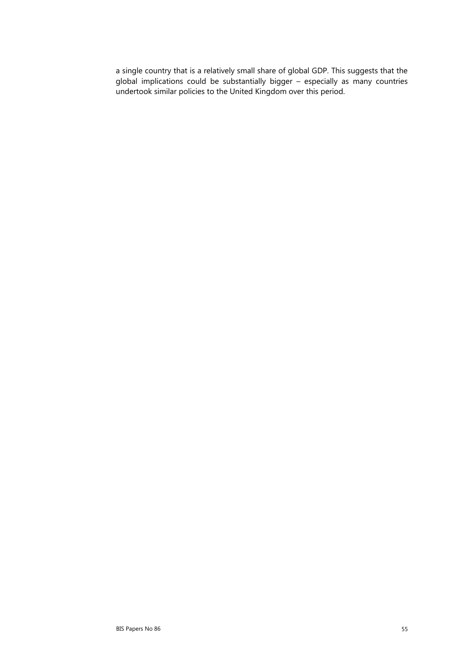a single country that is a relatively small share of global GDP. This suggests that the global implications could be substantially bigger – especially as many countries undertook similar policies to the United Kingdom over this period.